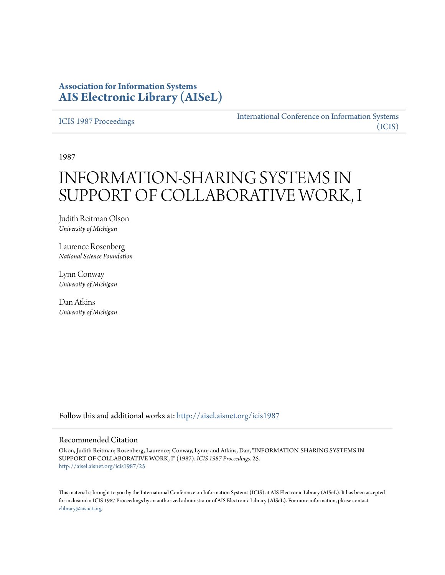## **Association for Information Systems [AIS Electronic Library \(AISeL\)](http://aisel.aisnet.org?utm_source=aisel.aisnet.org%2Ficis1987%2F25&utm_medium=PDF&utm_campaign=PDFCoverPages)**

[ICIS 1987 Proceedings](http://aisel.aisnet.org/icis1987?utm_source=aisel.aisnet.org%2Ficis1987%2F25&utm_medium=PDF&utm_campaign=PDFCoverPages)

[International Conference on Information Systems](http://aisel.aisnet.org/icis?utm_source=aisel.aisnet.org%2Ficis1987%2F25&utm_medium=PDF&utm_campaign=PDFCoverPages) [\(ICIS\)](http://aisel.aisnet.org/icis?utm_source=aisel.aisnet.org%2Ficis1987%2F25&utm_medium=PDF&utm_campaign=PDFCoverPages)

1987

# INFORMATION-SHARING SYSTEMS IN SUPPORT OF COLLABORATIVE WORK, I

Judith Reitman Olson *University of Michigan*

Laurence Rosenberg *National Science Foundation*

Lynn Conway *University of Michigan*

Dan Atkins *University of Michigan*

Follow this and additional works at: [http://aisel.aisnet.org/icis1987](http://aisel.aisnet.org/icis1987?utm_source=aisel.aisnet.org%2Ficis1987%2F25&utm_medium=PDF&utm_campaign=PDFCoverPages)

#### Recommended Citation

Olson, Judith Reitman; Rosenberg, Laurence; Conway, Lynn; and Atkins, Dan, "INFORMATION-SHARING SYSTEMS IN SUPPORT OF COLLABORATIVE WORK, I" (1987). *ICIS 1987 Proceedings*. 25. [http://aisel.aisnet.org/icis1987/25](http://aisel.aisnet.org/icis1987/25?utm_source=aisel.aisnet.org%2Ficis1987%2F25&utm_medium=PDF&utm_campaign=PDFCoverPages)

This material is brought to you by the International Conference on Information Systems (ICIS) at AIS Electronic Library (AISeL). It has been accepted for inclusion in ICIS 1987 Proceedings by an authorized administrator of AIS Electronic Library (AISeL). For more information, please contact [elibrary@aisnet.org.](mailto:elibrary@aisnet.org%3E)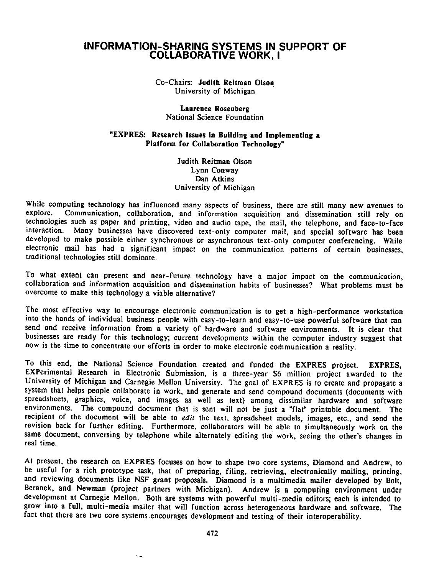### INFORMATION-SHARING SYSTEMS IN SUPPORT OF COLLABORATIVE WORK, <sup>1</sup>

Co-Chairs: Judith Reitman Olson University of Michigan

Laurence Rosenberg National Science Foundation

#### "EXPRES: Research Issues in Building and Implementing a Platform for Collaboration Technology"

Judith Reitman Olson Lynn Conway Dan Atkins University of Michigan

While computing technology has influenced many aspects of business, there are still many new avenues to explore. Communication, collaboration, and information acquisition and dissemination still rely on Communication, collaboration, and information acquisition and dissemination still rely on technologies such as paper and printing. video and audio tape, the mail, the telephone, and face-to-face interaction. Many businesses have discovered text-only computer mail, and special software has been developed to make possible either synchronous or asynchronous text-only computer conferencing. While electronic mail has had <sup>a</sup> significant impact on the communication patterns of certain businesses, traditional technologies still dominate.

To what extent can present and near-future technology have <sup>a</sup> major impact on the communication, collaboration and information acquisition and dissemination habits of businesses? What problems must be overcome to make this technology a viable alternative?

The most effective way to encourage electronic communication is to get a high-performance workstation into the hands of individual business people with easy-to-learn and easy-to-use powerful software that can send and receive information from <sup>a</sup> variety of hardware and software environments. It is clear that businesses are ready for this technology; current developments within the computer industry suggest that now is the time to concentrate our efforts in order to make electronic communication a reality.

To this end, the National Science Foundation created and funded the EXPRES project. EXPRES, EXPerimental Research in Electronic Submission, is <sup>a</sup> three-year \$6 million project awarded to the University of Michigan and Carnegie Mellon University. The goal of EXPRES is to create and propagate <sup>a</sup> system that helps people collaborate in work, and generate and send compound documents (documents with spreadsheets, graphics, voice, and images as well as text) among dissimilar hardware and software environments. The compound document that is sent will not be just <sup>a</sup> "flat" printable document. The recipient of the document will be able to edit the text, spreadsheet models, images, etc., and send the revision back for further editing, Furthermore, collaborators will be able to simultaneously work on the same document, conversing by telephone while alternately editing the work, seeing the other's changes in real time.

At present, the research on EXPRES focuses on how to shape two core systems, Diamond and Andrew, to be useful for <sup>a</sup> rich prototype task, that of preparing, filing, retrieving, electronically mailing, printing, and reviewing documents like NSF grant proposals. Diamond is <sup>a</sup> multimedia mailer developed by Bolt, Beranek, and Newman (project partners with Michigan). Andrew is <sup>a</sup> computing environment under development at Carnegie Mellon. Both are systems with powerful multi-media editors; each is intended to grow into <sup>a</sup> full, multi-media mailer that will function across heterogeneous hardware and software. The fact that there are two core systems encourages development and testing of their interoperability.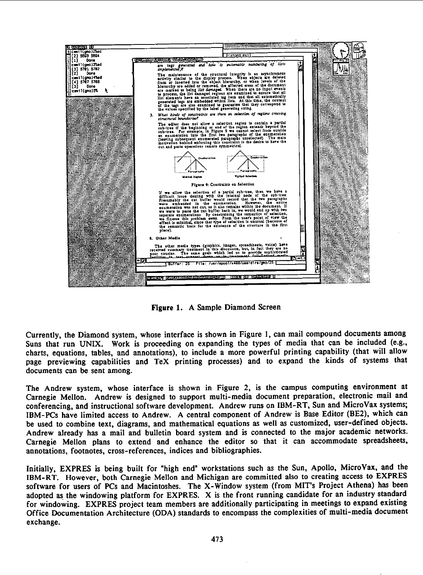

Figure 1. A Sample Diamond Screen

Currently, the Diamond system, whose interface is shown in Figure 1, can mail compound documents among Suns that run UNIX. Work is proceeding on expanding the types of media that can be included (e.g., charts, equations, tables, and annotations), to include a more powerful printing capability (that will allow page previewing capabilities and TeX printing processes) and to expand the kinds of systems that documents can be sent among.

The Andrew system, whose interface is shown in Figure 2, is the campus computing environment at Carnegie Mellon. Andrew is designed to support multi-media document preparation, electronic mail and conferencing, and instructional software development. Andrew runs on IBM-RT, Sun and MicroVax systems; IBM-PCs have limited access to Andrew. A central component of Andrew is Base Editor (BE2), which can be used to combine text, diagrams, and mathematical equations as well as customized, user-defined objects. Andrew already has a mail and bulletin board system and is connected to the major academic networks. Carnegie Mellon plans to extend and enhance the editor so that it can accommodate spreadsheets, annotations, footnotes, cross-references, indices and bibliographies.

Initially, EXPRES is being built for "high end" workstations such as the Sun, Apollo, MicroVax, and the IBM-RT. However, both Carnegie Mellon and Michigan are committed also to creating access to EXPRES software for users of PCs and Macintoshes. The X-Window system (from MIT's Project Athena) has been adopted as the windowing platform for EXPRES. X is the front running candidate for an industry standard for windowing. EXPRES project team members are additionally participating in meetings to expand existing Office Documentation Architecture (ODA) standards to encompass the complexities of multi-media document exchange.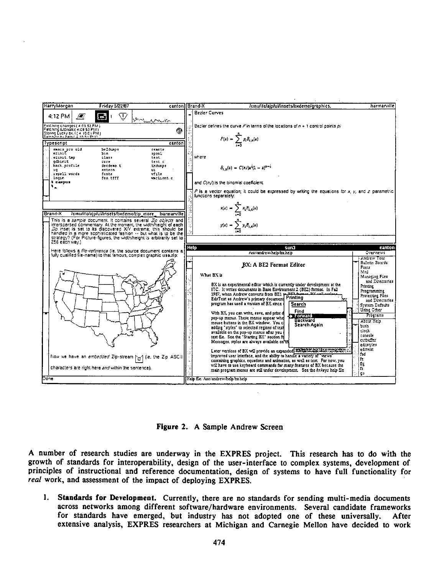

Figure 2. A Sample Andrew Screen

A number of research studies are underway in the EXPRES project. This research has to do with the growth of standards for interoperability, design of the user-interface to complex systems, development of principles of instructional and reference documentation, design of systems to have full functionality for real work, and assessment of the impact of deploying EXPRES.

Standards for Development. Currently, there are no standards for sending multi-media documents 1. across networks among different software/hardware environments. Several candidate frameworks for standards have emerged, but industry has not adopted one of these universally. After extensive analysis, EXPRES researchers at Michigan and Carnegie Mellon have decided to work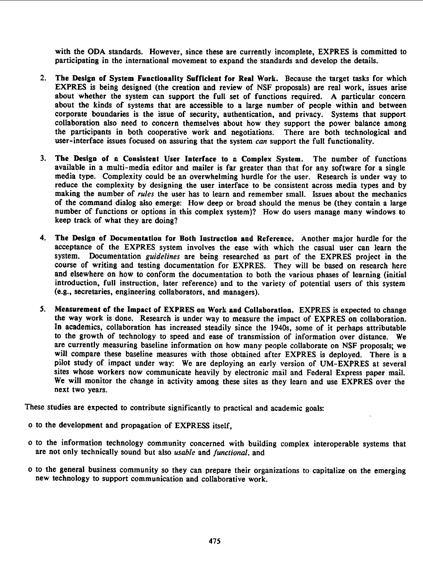with the ODA standards. However, since these are currently incomplete, EXPRES is committed to participating in the international movement to expand the standards and develop the details.

- 2. The Design of System Functionality Sufficient for Real Work. Because the target tasks for which EXPRES is being designed (the creation and review of NSF proposals) are real work, issues arise about whether the system can support the full set of functions required. A particular concern about the kinds of systems that are accessible to a large number of people within and between corporate boundaries is the issue of security, authentication, and privacy. Systems that support collaboration also need to concern themselves about how they support the power balance among the participants in both cooperative work and negotiations. There are both technological and user-interface issues focused on assuring that the system can support the full functionality.
- 3. The Design of n Consistent User Interface to n Complex System. The number of functions available in <sup>a</sup> multi-media editor and mailer is far greater than that for any software for a single media type. Complexity could be an overwhelming hurdle for the user. Research is under way to reduce the complexity by designing the user interface to be consistent across media types and by making the number of rules the user has to learn and remember small. Issues about the mechanics of the command dialog also emerge: How deep or broad should the menus be (they contain <sup>a</sup> large number of functions or options in this complex system)? How do users manage many windows to keep track of what they are doing?
- 4. The Design of Documentation for Both Instruction and Reference. Another major hurdle for the acceptance of the EXPRES system involves the ease with which the casual user can learn the system. Documentation guidelines are being researched as part of the EXPRES project in the course of writing and testing documentation for EXPRES. They will be based on research here and elsewhere on how to conform the documentation to both the various phases of learning (initial introduction, full instruction, later reference) and to the variety of potential users of this system (e.g., secretaries, engineering collaborators, and managers).
- 5. Measurement of the Impact of EXPRES on Work and Collaboration. EXPRES is expected to change the way work is done. Research is under way to measure the impact of EXPRES on collaboration. In academics, collaboration has increased steadily since the 1940s. some of it perhaps attributable to the growth of technology to speed and ease of transmission of information over distance. We are currently measuring baseline information on how many people collaborate on NSF proposals; we will compare these baseline measures with those obtained after EXPRES is deployed. There is <sup>a</sup> pilot study of impact under way: We are deploying an early version of UM-EXPRES at several sites whose workers now communicate heavily by electronic mail and Federal Express paper mail. We will monitor the change in activity among these sites as they learn and use EXPRES over the next two years.

These studies are expected to contribute significantly to practical and academic goals:

- o to the development and propagation of EXPRESS itself,
- o to the information technology community concerned with building complex interoperable systems that are not only technically sound but also usable and functional, and
- o to the general business community so they can prepare their organizations to capitalize on the emerging new technology to support communication and collaborative work.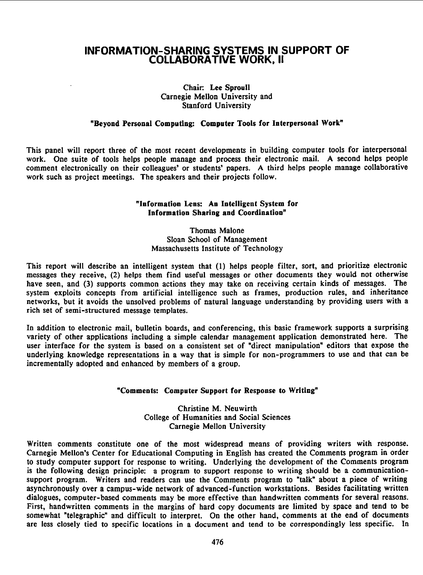## INFORMATION-SHARING SYSTEMS IN SUPPORT OF COLLABORATIVE WORK, 11

#### Chair. Lee Sproull Carnegie Mellon University and Stanford University

#### "Beyond Personal Computing: Computer Tools for Interpersonal Work"

This panel will report three of the most recent developments in building computer tools for interpersonal work. One suite of tools helps people manage and process their electronic mail. A second helps people comment electronically on their colleagues' or students' papers. A third helps people manage collaborative work such as project meetings. The speakers and their projects follow.

#### "Information Lens: An Intelligent System for Information Sharing and Coordination"

#### Thomas Malone Sloan School of Management Massachusetts Institute of Technology

This report will describe an intelligent system that (1) helps people filter, sort, and prioritize electronic messages they receive, (2) helps them find useful messages or other documents they would not otherwise have seen, and (3) supports common actions they may take on receiving certain kinds of messages. The system exploits concepts from artificial intelligence such as frames, production rules, and inheritance networks, but it avoids the unsolved problems of natural language understanding by providing users with <sup>a</sup> rich set of semi-structured message templates.

In addition to electronic mail, bulletin boards, and conferencing, this basic framework supports a surprising variety of other applications including a simple calendar management application demonstrated here. The user interface for the system is based on <sup>a</sup> consistent set of "direct manipulation" editors that expose the underlying knowledge representations in <sup>a</sup> way that is simple for non-programmers to use and that can be incrementally adopted and enhanced by members of <sup>a</sup> group.

#### "Comments: Computer Support for Response to Writing"

Christine M. Neuwirth College of Humanities and Social Sciences Carnegie Mellon University

Written comments constitute one of the most widespread means of providing writers with response. Carnegie Mellon's Center for Educational Computing in English has created the Comments program in order to study computer support for response to writing. Underlying the development of the Comments program is the following design principle: a program to support response to writing should be a communicationsupport program. Writers and readers can use the Comments program to "talk" about a piece of writing asynchronously over a campus-wide network of advanced-function workstations. Besides facilitating written dialogues, computer-based comments may be more effective than handwritten comments for several reasons. First, handwritten comments in the margins of hard copy documents are limited by space and tend to be somewhat "telegraphic" and difficult to interpret. On the other hand, comments at the end of documents are less closely tied to specific locations in a document and tend to be correspondingly less specific. In